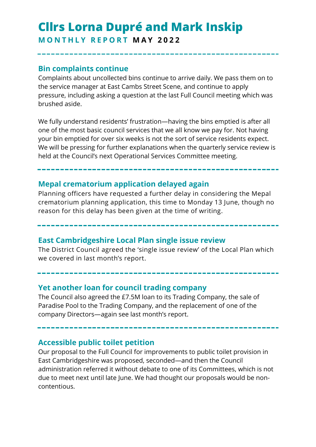# **Cllrs Lorna Dupré and Mark Inskip M O N T H L Y R E P O R T M A Y 2 0 2 2**

## **Bin complaints continue**

Complaints about uncollected bins continue to arrive daily. We pass them on to the service manager at East Cambs Street Scene, and continue to apply pressure, including asking a question at the last Full Council meeting which was brushed aside.

We fully understand residents' frustration—having the bins emptied is after all one of the most basic council services that we all know we pay for. Not having your bin emptied for over six weeks is not the sort of service residents expect. We will be pressing for further explanations when the quarterly service review is held at the Council's next Operational Services Committee meeting.

# **Mepal crematorium application delayed again**

Planning officers have requested a further delay in considering the Mepal crematorium planning application, this time to Monday 13 June, though no reason for this delay has been given at the time of writing.

#### **East Cambridgeshire Local Plan single issue review**

The District Council agreed the 'single issue review' of the Local Plan which we covered in last month's report.

#### **Yet another loan for council trading company**

The Council also agreed the £7.5M loan to its Trading Company, the sale of Paradise Pool to the Trading Company, and the replacement of one of the company Directors—again see last month's report.

# **Accessible public toilet petition**

Our proposal to the Full Council for improvements to public toilet provision in East Cambridgeshire was proposed, seconded—and then the Council administration referred it without debate to one of its Committees, which is not due to meet next until late June. We had thought our proposals would be noncontentious.